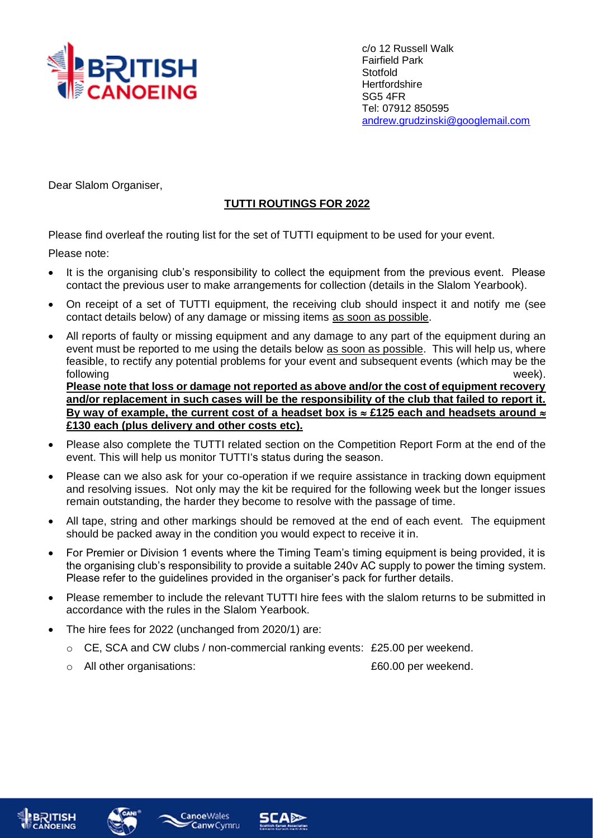

c/o 12 Russell Walk Fairfield Park **Stotfold Hertfordshire** SG5 4FR Tel: 07912 850595 [andrew.grudzinski@googlemail.com](mailto:andrew.grudzinski@googlemail.com)

Dear Slalom Organiser,

## **TUTTI ROUTINGS FOR 2022**

Please find overleaf the routing list for the set of TUTTI equipment to be used for your event.

Please note:

- It is the organising club's responsibility to collect the equipment from the previous event. Please contact the previous user to make arrangements for collection (details in the Slalom Yearbook).
- On receipt of a set of TUTTI equipment, the receiving club should inspect it and notify me (see contact details below) of any damage or missing items as soon as possible.
- All reports of faulty or missing equipment and any damage to any part of the equipment during an event must be reported to me using the details below as soon as possible. This will help us, where feasible, to rectify any potential problems for your event and subsequent events (which may be the following week). **Please note that loss or damage not reported as above and/or the cost of equipment recovery and/or replacement in such cases will be the responsibility of the club that failed to report it.**  By way of example, the current cost of a headset box is  $\approx$  £125 each and headsets around  $\approx$ **£130 each (plus delivery and other costs etc).**
- Please also complete the TUTTI related section on the Competition Report Form at the end of the event. This will help us monitor TUTTI's status during the season.
- Please can we also ask for your co-operation if we require assistance in tracking down equipment and resolving issues. Not only may the kit be required for the following week but the longer issues remain outstanding, the harder they become to resolve with the passage of time.
- All tape, string and other markings should be removed at the end of each event. The equipment should be packed away in the condition you would expect to receive it in.
- For Premier or Division 1 events where the Timing Team's timing equipment is being provided, it is the organising club's responsibility to provide a suitable 240v AC supply to power the timing system. Please refer to the guidelines provided in the organiser's pack for further details.
- Please remember to include the relevant TUTTI hire fees with the slalom returns to be submitted in accordance with the rules in the Slalom Yearbook.
- The hire fees for 2022 (unchanged from 2020/1) are:

**Canoe**Wales

- $\circ$  CE, SCA and CW clubs / non-commercial ranking events: £25.00 per weekend.
- o All other organisations: £60.00 per weekend.